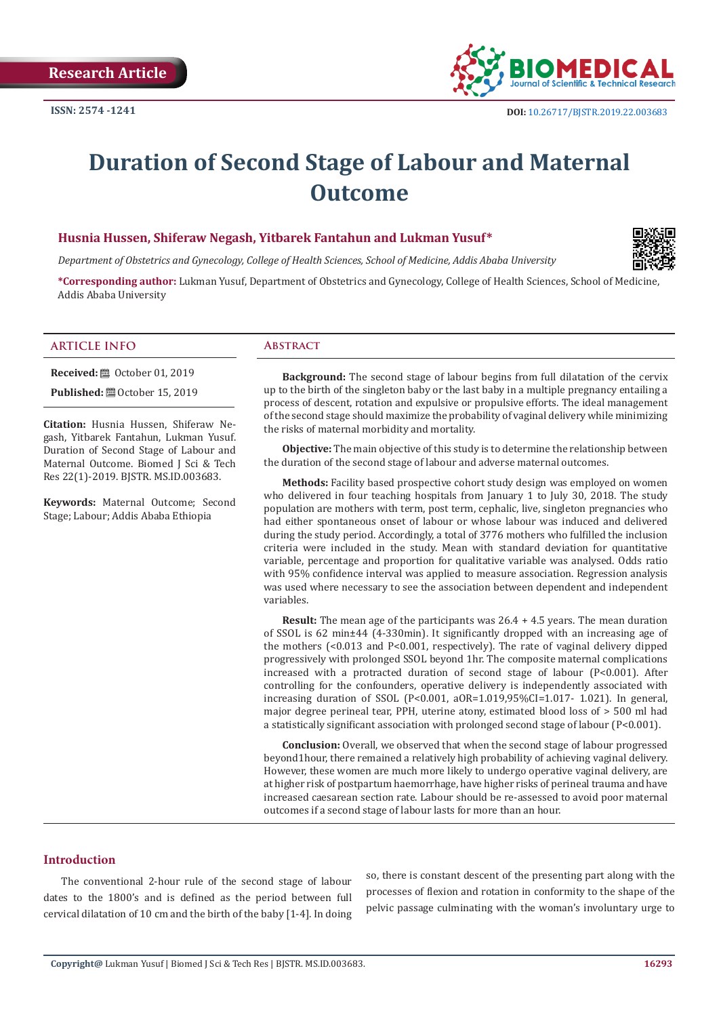

# **Duration of Second Stage of Labour and Maternal Outcome**

# **Husnia Hussen, Shiferaw Negash, Yitbarek Fantahun and Lukman Yusuf\***

*Department of Obstetrics and Gynecology, College of Health Sciences, School of Medicine, Addis Ababa University*



**\*Corresponding author:** Lukman Yusuf, Department of Obstetrics and Gynecology, College of Health Sciences, School of Medicine, Addis Ababa University

# **ARTICLE INFO Abstract**

**Received: □** October 01, 2019

**Published:** ■ October 15, 2019

**Citation:** Husnia Hussen, Shiferaw Negash, Yitbarek Fantahun, Lukman Yusuf. Duration of Second Stage of Labour and Maternal Outcome. Biomed J Sci & Tech Res 22(1)-2019. BJSTR. MS.ID.003683.

**Keywords:** Maternal Outcome; Second Stage; Labour; Addis Ababa Ethiopia

**Background:** The second stage of labour begins from full dilatation of the cervix up to the birth of the singleton baby or the last baby in a multiple pregnancy entailing a process of descent, rotation and expulsive or propulsive efforts. The ideal management of the second stage should maximize the probability of vaginal delivery while minimizing the risks of maternal morbidity and mortality.

**Objective:** The main objective of this study is to determine the relationship between the duration of the second stage of labour and adverse maternal outcomes.

**Methods:** Facility based prospective cohort study design was employed on women who delivered in four teaching hospitals from January 1 to July 30, 2018. The study population are mothers with term, post term, cephalic, live, singleton pregnancies who had either spontaneous onset of labour or whose labour was induced and delivered during the study period. Accordingly, a total of 3776 mothers who fulfilled the inclusion criteria were included in the study. Mean with standard deviation for quantitative variable, percentage and proportion for qualitative variable was analysed. Odds ratio with 95% confidence interval was applied to measure association. Regression analysis was used where necessary to see the association between dependent and independent variables.

**Result:** The mean age of the participants was 26.4 + 4.5 years. The mean duration of SSOL is 62 min±44 (4-330min). It significantly dropped with an increasing age of the mothers (<0.013 and P<0.001, respectively). The rate of vaginal delivery dipped progressively with prolonged SSOL beyond 1hr. The composite maternal complications increased with a protracted duration of second stage of labour (P<0.001). After controlling for the confounders, operative delivery is independently associated with increasing duration of SSOL  $(P< 0.001, aOR = 1.019, 95\% CI = 1.017 - 1.021$ . In general, major degree perineal tear, PPH, uterine atony, estimated blood loss of > 500 ml had a statistically significant association with prolonged second stage of labour (P<0.001).

**Conclusion:** Overall, we observed that when the second stage of labour progressed beyond1hour, there remained a relatively high probability of achieving vaginal delivery. However, these women are much more likely to undergo operative vaginal delivery, are at higher risk of postpartum haemorrhage, have higher risks of perineal trauma and have increased caesarean section rate. Labour should be re-assessed to avoid poor maternal outcomes if a second stage of labour lasts for more than an hour.

# **Introduction**

The conventional 2-hour rule of the second stage of labour dates to the 1800's and is defined as the period between full cervical dilatation of 10 cm and the birth of the baby [1-4]. In doing so, there is constant descent of the presenting part along with the processes of flexion and rotation in conformity to the shape of the pelvic passage culminating with the woman's involuntary urge to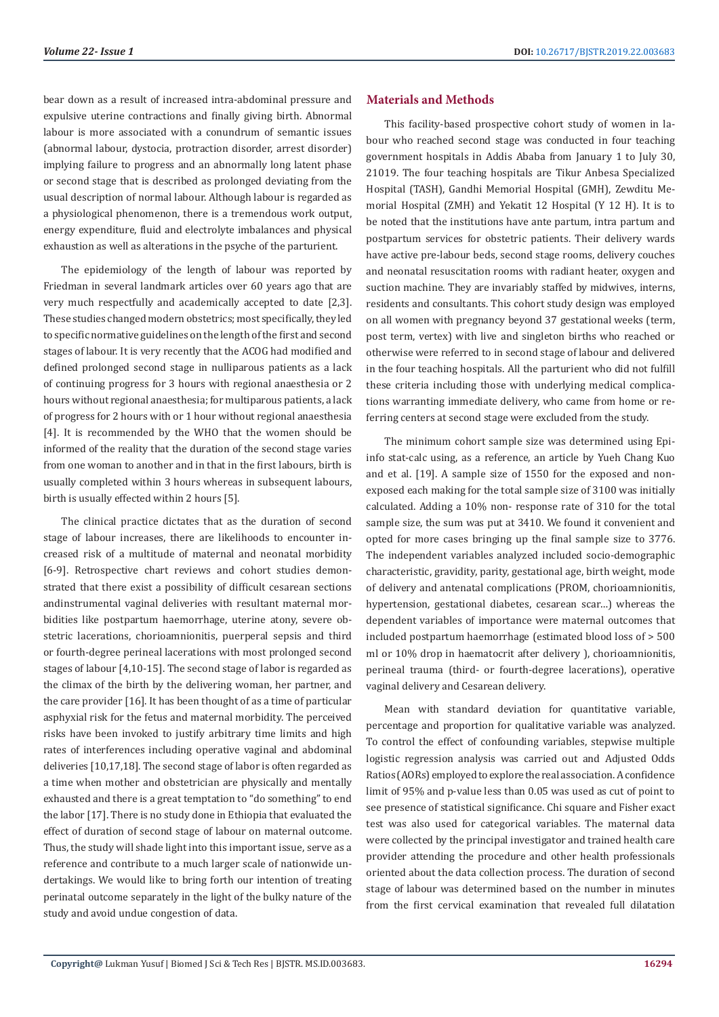bear down as a result of increased intra-abdominal pressure and expulsive uterine contractions and finally giving birth. Abnormal labour is more associated with a conundrum of semantic issues (abnormal labour, dystocia, protraction disorder, arrest disorder) implying failure to progress and an abnormally long latent phase or second stage that is described as prolonged deviating from the usual description of normal labour. Although labour is regarded as a physiological phenomenon, there is a tremendous work output, energy expenditure, fluid and electrolyte imbalances and physical exhaustion as well as alterations in the psyche of the parturient.

The epidemiology of the length of labour was reported by Friedman in several landmark articles over 60 years ago that are very much respectfully and academically accepted to date [2,3]. These studies changed modern obstetrics; most specifically, they led to specific normative guidelines on the length of the first and second stages of labour. It is very recently that the ACOG had modified and defined prolonged second stage in nulliparous patients as a lack of continuing progress for 3 hours with regional anaesthesia or 2 hours without regional anaesthesia; for multiparous patients, a lack of progress for 2 hours with or 1 hour without regional anaesthesia [4]. It is recommended by the WHO that the women should be informed of the reality that the duration of the second stage varies from one woman to another and in that in the first labours, birth is usually completed within 3 hours whereas in subsequent labours, birth is usually effected within 2 hours [5].

The clinical practice dictates that as the duration of second stage of labour increases, there are likelihoods to encounter increased risk of a multitude of maternal and neonatal morbidity [6-9]. Retrospective chart reviews and cohort studies demonstrated that there exist a possibility of difficult cesarean sections andinstrumental vaginal deliveries with resultant maternal morbidities like postpartum haemorrhage, uterine atony, severe obstetric lacerations, chorioamnionitis, puerperal sepsis and third or fourth-degree perineal lacerations with most prolonged second stages of labour [4,10-15]. The second stage of labor is regarded as the climax of the birth by the delivering woman, her partner, and the care provider [16]. It has been thought of as a time of particular asphyxial risk for the fetus and maternal morbidity. The perceived risks have been invoked to justify arbitrary time limits and high rates of interferences including operative vaginal and abdominal deliveries [10,17,18]. The second stage of labor is often regarded as a time when mother and obstetrician are physically and mentally exhausted and there is a great temptation to "do something" to end the labor [17]. There is no study done in Ethiopia that evaluated the effect of duration of second stage of labour on maternal outcome. Thus, the study will shade light into this important issue, serve as a reference and contribute to a much larger scale of nationwide undertakings. We would like to bring forth our intention of treating perinatal outcome separately in the light of the bulky nature of the study and avoid undue congestion of data.

# **Materials and Methods**

This facility-based prospective cohort study of women in labour who reached second stage was conducted in four teaching government hospitals in Addis Ababa from January 1 to July 30, 21019. The four teaching hospitals are Tikur Anbesa Specialized Hospital (TASH), Gandhi Memorial Hospital (GMH), Zewditu Memorial Hospital (ZMH) and Yekatit 12 Hospital (Y 12 H). It is to be noted that the institutions have ante partum, intra partum and postpartum services for obstetric patients. Their delivery wards have active pre-labour beds, second stage rooms, delivery couches and neonatal resuscitation rooms with radiant heater, oxygen and suction machine. They are invariably staffed by midwives, interns, residents and consultants. This cohort study design was employed on all women with pregnancy beyond 37 gestational weeks (term, post term, vertex) with live and singleton births who reached or otherwise were referred to in second stage of labour and delivered in the four teaching hospitals. All the parturient who did not fulfill these criteria including those with underlying medical complications warranting immediate delivery, who came from home or referring centers at second stage were excluded from the study.

The minimum cohort sample size was determined using Epiinfo stat-calc using, as a reference, an article by Yueh Chang Kuo and et al. [19]. A sample size of 1550 for the exposed and nonexposed each making for the total sample size of 3100 was initially calculated. Adding a 10% non- response rate of 310 for the total sample size, the sum was put at 3410. We found it convenient and opted for more cases bringing up the final sample size to 3776. The independent variables analyzed included socio-demographic characteristic, gravidity, parity, gestational age, birth weight, mode of delivery and antenatal complications (PROM, chorioamnionitis, hypertension, gestational diabetes, cesarean scar…) whereas the dependent variables of importance were maternal outcomes that included postpartum haemorrhage (estimated blood loss of > 500 ml or 10% drop in haematocrit after delivery ), chorioamnionitis, perineal trauma (third- or fourth-degree lacerations), operative vaginal delivery and Cesarean delivery.

Mean with standard deviation for quantitative variable, percentage and proportion for qualitative variable was analyzed. To control the effect of confounding variables, stepwise multiple logistic regression analysis was carried out and Adjusted Odds Ratios (AORs) employed to explore the real association. A confidence limit of 95% and p-value less than 0.05 was used as cut of point to see presence of statistical significance. Chi square and Fisher exact test was also used for categorical variables. The maternal data were collected by the principal investigator and trained health care provider attending the procedure and other health professionals oriented about the data collection process. The duration of second stage of labour was determined based on the number in minutes from the first cervical examination that revealed full dilatation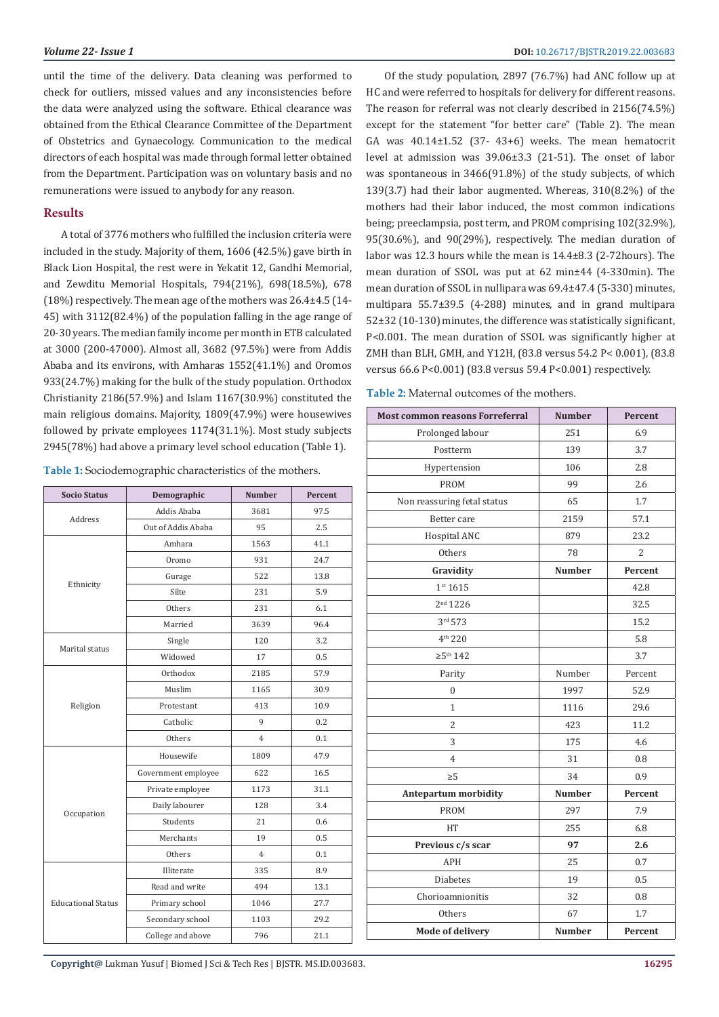until the time of the delivery. Data cleaning was performed to check for outliers, missed values and any inconsistencies before the data were analyzed using the software. Ethical clearance was obtained from the Ethical Clearance Committee of the Department of Obstetrics and Gynaecology. Communication to the medical directors of each hospital was made through formal letter obtained from the Department. Participation was on voluntary basis and no remunerations were issued to anybody for any reason.

### **Results**

A total of 3776 mothers who fulfilled the inclusion criteria were included in the study. Majority of them, 1606 (42.5%) gave birth in Black Lion Hospital, the rest were in Yekatit 12, Gandhi Memorial, and Zewditu Memorial Hospitals, 794(21%), 698(18.5%), 678 (18%) respectively. The mean age of the mothers was 26.4±4.5 (14- 45) with 3112(82.4%) of the population falling in the age range of 20-30 years. The median family income per month in ETB calculated at 3000 (200-47000). Almost all, 3682 (97.5%) were from Addis Ababa and its environs, with Amharas 1552(41.1%) and Oromos 933(24.7%) making for the bulk of the study population. Orthodox Christianity 2186(57.9%) and Islam 1167(30.9%) constituted the main religious domains. Majority, 1809(47.9%) were housewives followed by private employees 1174(31.1%). Most study subjects 2945(78%) had above a primary level school education (Table 1).

**Table 1:** Sociodemographic characteristics of the mothers.

| <b>Socio Status</b>       | Demographic         | <b>Number</b>  | Percent |
|---------------------------|---------------------|----------------|---------|
|                           | Addis Ababa         | 3681           | 97.5    |
| Address                   | Out of Addis Ababa  | 95             | 2.5     |
|                           | Amhara              | 1563           | 41.1    |
|                           | Oromo               | 931            | 24.7    |
|                           | Gurage              | 522            | 13.8    |
| Ethnicity                 | Silte               | 231            | 5.9     |
|                           | Others              | 231            | 6.1     |
|                           | Married             | 3639           | 96.4    |
|                           | Single              | 120            | 3.2     |
| Marital status            | Widowed             | 17             | 0.5     |
|                           | Orthodox            | 2185           | 57.9    |
|                           | Muslim              | 1165           | 30.9    |
| Religion                  | Protestant          | 413            | 10.9    |
|                           | Catholic            | 9              | 0.2     |
|                           | Others              | $\overline{4}$ | 0.1     |
|                           | Housewife           | 1809           | 47.9    |
|                           | Government employee | 622            | 16.5    |
|                           | Private employee    | 1173           | 31.1    |
| Occupation                | Daily labourer      | 128            | 3.4     |
|                           | Students            | 21             | 0.6     |
|                           | Merchants           | 19             | 0.5     |
|                           | Others              | $\overline{4}$ | 0.1     |
|                           | Illiterate          | 335            | 8.9     |
|                           | Read and write      | 494            | 13.1    |
| <b>Educational Status</b> | Primary school      | 1046           | 27.7    |
|                           | Secondary school    | 1103           | 29.2    |
|                           | College and above   | 796            | 21.1    |

Of the study population, 2897 (76.7%) had ANC follow up at HC and were referred to hospitals for delivery for different reasons. The reason for referral was not clearly described in 2156(74.5%) except for the statement "for better care" (Table 2). The mean GA was 40.14±1.52 (37- 43+6) weeks. The mean hematocrit level at admission was 39.06±3.3 (21-51). The onset of labor was spontaneous in 3466(91.8%) of the study subjects, of which 139(3.7) had their labor augmented. Whereas, 310(8.2%) of the mothers had their labor induced, the most common indications being; preeclampsia, post term, and PROM comprising 102(32.9%), 95(30.6%), and 90(29%), respectively. The median duration of labor was 12.3 hours while the mean is 14.4±8.3 (2-72hours). The mean duration of SSOL was put at 62 min±44 (4-330min). The mean duration of SSOL in nullipara was 69.4±47.4 (5-330) minutes, multipara 55.7±39.5 (4-288) minutes, and in grand multipara 52±32 (10-130) minutes, the difference was statistically significant, P<0.001. The mean duration of SSOL was significantly higher at ZMH than BLH, GMH, and Y12H, (83.8 versus 54.2 P< 0.001), (83.8 versus 66.6 P<0.001) (83.8 versus 59.4 P<0.001) respectively.

**Table 2:** Maternal outcomes of the mothers.

| <b>Most common reasons Forreferral</b> | <b>Number</b> | Percent        |  |  |
|----------------------------------------|---------------|----------------|--|--|
| Prolonged labour                       | 251           | 6.9            |  |  |
| Postterm                               | 139           | 3.7            |  |  |
| Hypertension                           | 106           | 2.8            |  |  |
| <b>PROM</b>                            | 99            | 2.6            |  |  |
| Non reassuring fetal status            | 65            | 1.7            |  |  |
| Better care                            | 2159          | 57.1           |  |  |
| Hospital ANC                           | 879           | 23.2           |  |  |
| Others                                 | 78            | $\overline{2}$ |  |  |
| Gravidity                              | <b>Number</b> | Percent        |  |  |
| 1 <sup>st</sup> 1615                   |               | 42.8           |  |  |
| 2 <sup>nd</sup> 1226                   |               | 32.5           |  |  |
| 3rd 573                                |               | 15.2           |  |  |
| 4 <sup>th</sup> 220                    |               | 5.8            |  |  |
| $\geq 5^{\text{th}}$ 142               |               | 3.7            |  |  |
| Parity                                 | Number        | Percent        |  |  |
| 0                                      | 1997          | 52.9           |  |  |
| $\mathbf{1}$                           | 1116          | 29.6           |  |  |
| $\overline{c}$                         | 423           | 11.2           |  |  |
| 3                                      | 175           | 4.6            |  |  |
| $\overline{4}$                         | 31            | 0.8            |  |  |
| $\geq 5$                               | 34            | 0.9            |  |  |
| <b>Antepartum morbidity</b>            | <b>Number</b> | Percent        |  |  |
| <b>PROM</b>                            | 297           | 7.9            |  |  |
| HT                                     | 255           | 6.8            |  |  |
| Previous c/s scar                      | 97            | 2.6            |  |  |
| <b>APH</b>                             | 25            | 0.7            |  |  |
| <b>Diabetes</b>                        | 19            | 0.5            |  |  |
| Chorioamnionitis                       | 32            | 0.8            |  |  |
| Others                                 | 67            | 1.7            |  |  |
| <b>Mode of delivery</b>                | <b>Number</b> | Percent        |  |  |

**Copyright@** Lukman Yusuf | Biomed J Sci & Tech Res | BJSTR. MS.ID.003683.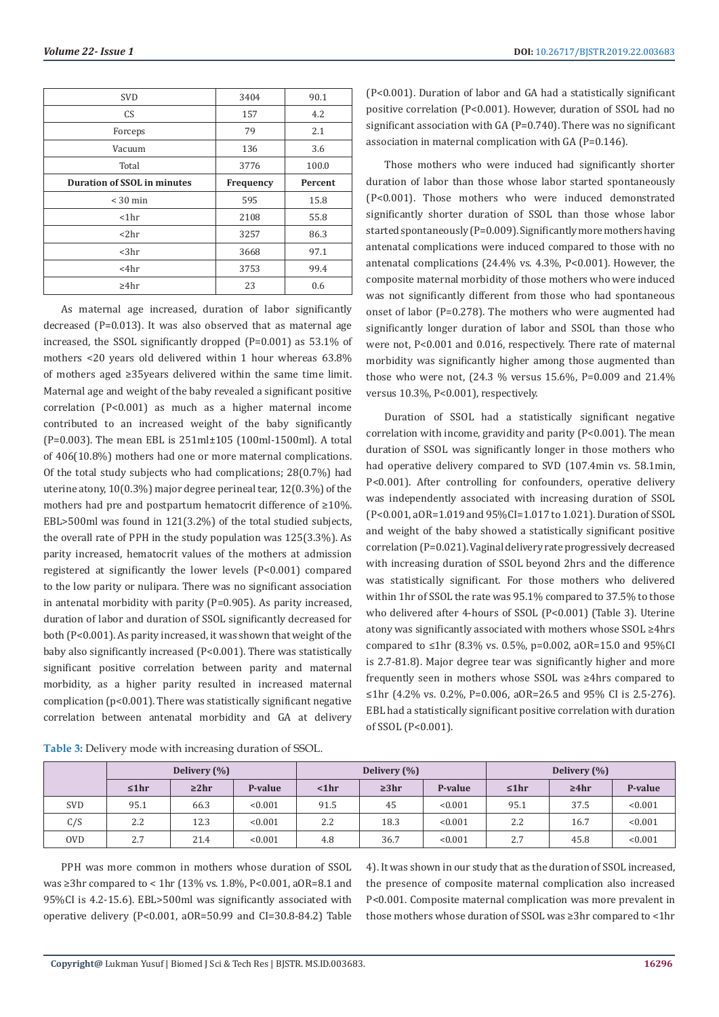| <b>SVD</b>                         | 3404      | 90.1    |  |
|------------------------------------|-----------|---------|--|
| <b>CS</b>                          | 157       | 4.2     |  |
| Forceps                            | 79        | 2.1     |  |
| Vacuum                             | 136       | 3.6     |  |
| Total                              | 3776      | 100.0   |  |
| <b>Duration of SSOL in minutes</b> | Frequency | Percent |  |
| $<$ 30 min                         | 595       | 15.8    |  |
| $ 1$ hr                            | 2108      | 55.8    |  |
| $<$ 2 $hr$                         | 3257      | 86.3    |  |
| $3hr$                              | 3668      | 97.1    |  |
| <4hr                               | 3753      | 99.4    |  |
| $\geq 4$ hr                        | 23        | 0.6     |  |

As maternal age increased, duration of labor significantly decreased (P=0.013). It was also observed that as maternal age increased, the SSOL significantly dropped (P=0.001) as 53.1% of mothers <20 years old delivered within 1 hour whereas 63.8% of mothers aged ≥35years delivered within the same time limit. Maternal age and weight of the baby revealed a significant positive correlation (P<0.001) as much as a higher maternal income contributed to an increased weight of the baby significantly (P=0.003). The mean EBL is 251ml±105 (100ml-1500ml). A total of 406(10.8%) mothers had one or more maternal complications. Of the total study subjects who had complications; 28(0.7%) had uterine atony, 10(0.3%) major degree perineal tear, 12(0.3%) of the mothers had pre and postpartum hematocrit difference of ≥10%. EBL>500ml was found in 121(3.2%) of the total studied subjects, the overall rate of PPH in the study population was 125(3.3%). As parity increased, hematocrit values of the mothers at admission registered at significantly the lower levels (P<0.001) compared to the low parity or nulipara. There was no significant association in antenatal morbidity with parity (P=0.905). As parity increased, duration of labor and duration of SSOL significantly decreased for both (P<0.001). As parity increased, it was shown that weight of the baby also significantly increased (P<0.001). There was statistically significant positive correlation between parity and maternal morbidity, as a higher parity resulted in increased maternal complication (p<0.001). There was statistically significant negative correlation between antenatal morbidity and GA at delivery

**Table 3:** Delivery mode with increasing duration of SSOL.

(P<0.001). Duration of labor and GA had a statistically significant positive correlation (P<0.001). However, duration of SSOL had no significant association with GA (P=0.740). There was no significant association in maternal complication with GA (P=0.146).

Those mothers who were induced had significantly shorter duration of labor than those whose labor started spontaneously (P<0.001). Those mothers who were induced demonstrated significantly shorter duration of SSOL than those whose labor started spontaneously (P=0.009). Significantly more mothers having antenatal complications were induced compared to those with no antenatal complications (24.4% vs. 4.3%, P<0.001). However, the composite maternal morbidity of those mothers who were induced was not significantly different from those who had spontaneous onset of labor (P=0.278). The mothers who were augmented had significantly longer duration of labor and SSOL than those who were not, P<0.001 and 0.016, respectively. There rate of maternal morbidity was significantly higher among those augmented than those who were not, (24.3 % versus 15.6%, P=0.009 and 21.4% versus 10.3%, P<0.001), respectively.

Duration of SSOL had a statistically significant negative correlation with income, gravidity and parity  $(P<0.001)$ . The mean duration of SSOL was significantly longer in those mothers who had operative delivery compared to SVD (107.4min vs. 58.1min, P<0.001). After controlling for confounders, operative delivery was independently associated with increasing duration of SSOL (P<0.001, aOR=1.019 and 95%CI=1.017 to 1.021). Duration of SSOL and weight of the baby showed a statistically significant positive correlation (P=0.021). Vaginal delivery rate progressively decreased with increasing duration of SSOL beyond 2hrs and the difference was statistically significant. For those mothers who delivered within 1hr of SSOL the rate was 95.1% compared to 37.5% to those who delivered after 4-hours of SSOL (P<0.001) (Table 3). Uterine atony was significantly associated with mothers whose SSOL ≥4hrs compared to ≤1hr (8.3% vs. 0.5%, p=0.002, aOR=15.0 and 95%CI is 2.7-81.8). Major degree tear was significantly higher and more frequently seen in mothers whose SSOL was ≥4hrs compared to ≤1hr (4.2% vs. 0.2%, P=0.006, aOR=26.5 and 95% CI is 2.5-276). EBL had a statistically significant positive correlation with duration of SSOL (P<0.001).

|            | Delivery (%) |             |         | Delivery (%) |            |         | Delivery (%) |             |         |
|------------|--------------|-------------|---------|--------------|------------|---------|--------------|-------------|---------|
|            | ≤1hr         | $\geq 2$ hr | P-value | $ 1$ hr      | $\geq 3hr$ | P-value | ≤1hr         | $\geq 4$ hr | P-value |
| <b>SVD</b> | 95.1         | 66.3        | < 0.001 | 91.5         | 45         | < 0.001 | 95.1         | 37.5        | < 0.001 |
| C/S        | 2.2          | 12.3        | < 0.001 | 2.2          | 18.3       | < 0.001 | 2.2          | 16.7        | < 0.001 |
| 0VD.       | 2.7          | 21.4        | < 0.001 | 4.8          | 36.7       | < 0.001 | 2.7          | 45.8        | < 0.001 |

PPH was more common in mothers whose duration of SSOL was ≥3hr compared to < 1hr (13% vs. 1.8%, P<0.001, aOR=8.1 and 95%CI is 4.2-15.6). EBL>500ml was significantly associated with operative delivery (P<0.001, aOR=50.99 and CI=30.8-84.2) Table

4). It was shown in our study that as the duration of SSOL increased, the presence of composite maternal complication also increased P<0.001. Composite maternal complication was more prevalent in those mothers whose duration of SSOL was ≥3hr compared to <1hr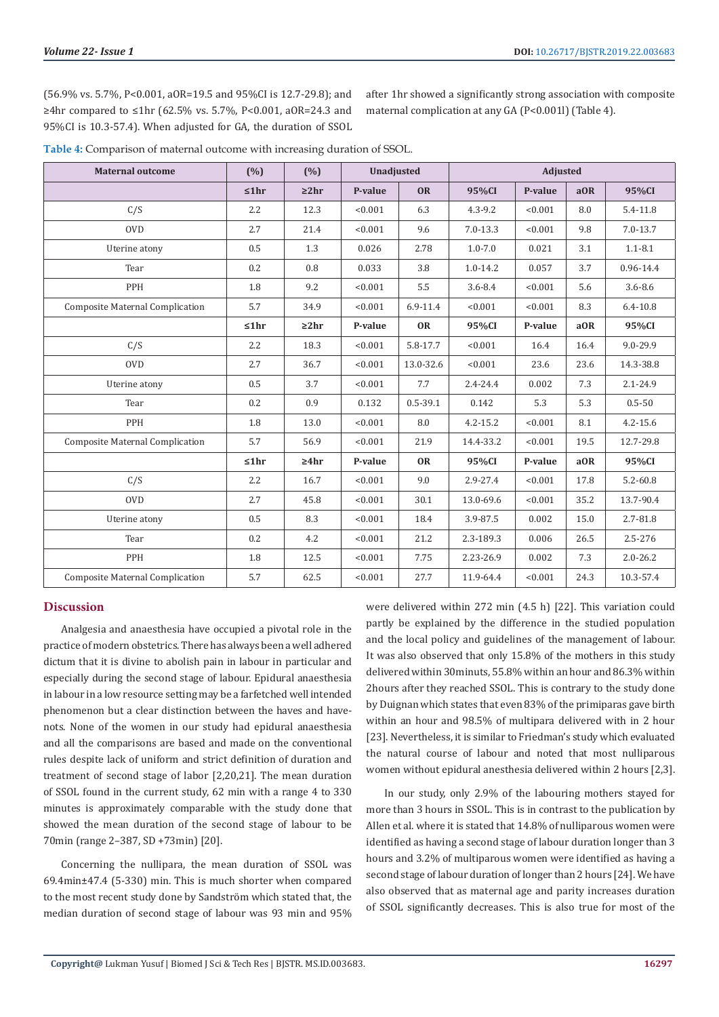(56.9% vs. 5.7%, P<0.001, aOR=19.5 and 95%CI is 12.7-29.8); and ≥4hr compared to ≤1hr (62.5% vs. 5.7%, P<0.001, aOR=24.3 and 95%CI is 10.3-57.4). When adjusted for GA, the duration of SSOL after 1hr showed a significantly strong association with composite maternal complication at any GA (P<0.001l) (Table 4).

| Table 4: Comparison of maternal outcome with increasing duration of SSOL. |  |
|---------------------------------------------------------------------------|--|
|---------------------------------------------------------------------------|--|

| <b>Maternal outcome</b>                | (% ) | (%)        | <b>Unadjusted</b> |              | <b>Adjusted</b> |         |      |              |
|----------------------------------------|------|------------|-------------------|--------------|-----------------|---------|------|--------------|
|                                        | ≤1hr | $\geq 2hr$ | P-value           | <b>OR</b>    | 95%CI           | P-value | aOR  | 95%CI        |
| C/S                                    | 2.2  | 12.3       | < 0.001           | 6.3          | $4.3 - 9.2$     | < 0.001 | 8.0  | $5.4 - 11.8$ |
| <b>OVD</b>                             | 2.7  | 21.4       | < 0.001           | 9.6          | $7.0 - 13.3$    | < 0.001 | 9.8  | $7.0 - 13.7$ |
| Uterine atony                          | 0.5  | 1.3        | 0.026             | 2.78         | $1.0 - 7.0$     | 0.021   | 3.1  | $1.1 - 8.1$  |
| Tear                                   | 0.2  | 0.8        | 0.033             | 3.8          | $1.0 - 14.2$    | 0.057   | 3.7  | 0.96-14.4    |
| PPH                                    | 1.8  | 9.2        | < 0.001           | 5.5          | $3.6 - 8.4$     | < 0.001 | 5.6  | $3.6 - 8.6$  |
| Composite Maternal Complication        | 5.7  | 34.9       | < 0.001           | $6.9 - 11.4$ | < 0.001         | < 0.001 | 8.3  | $6.4 - 10.8$ |
|                                        | ≤1hr | $\geq 2hr$ | P-value           | <b>OR</b>    | 95%CI           | P-value | aOR  | 95%CI        |
| C/S                                    | 2.2  | 18.3       | < 0.001           | 5.8-17.7     | < 0.001         | 16.4    | 16.4 | $9.0 - 29.9$ |
| <b>OVD</b>                             | 2.7  | 36.7       | < 0.001           | 13.0-32.6    | < 0.001         | 23.6    | 23.6 | 14.3-38.8    |
| Uterine atony                          | 0.5  | 3.7        | < 0.001           | 7.7          | $2.4 - 24.4$    | 0.002   | 7.3  | $2.1 - 24.9$ |
| Tear                                   | 0.2  | 0.9        | 0.132             | $0.5 - 39.1$ | 0.142           | 5.3     | 5.3  | $0.5 - 50$   |
| PPH                                    | 1.8  | 13.0       | < 0.001           | 8.0          | $4.2 - 15.2$    | < 0.001 | 8.1  | $4.2 - 15.6$ |
| <b>Composite Maternal Complication</b> | 5.7  | 56.9       | < 0.001           | 21.9         | 14.4-33.2       | < 0.001 | 19.5 | 12.7-29.8    |
|                                        | ≤1hr | $\geq 4hr$ | P-value           | <b>OR</b>    | 95%CI           | P-value | aOR  | 95%CI        |
| C/S                                    | 2.2  | 16.7       | < 0.001           | 9.0          | 2.9-27.4        | < 0.001 | 17.8 | $5.2 - 60.8$ |
| <b>OVD</b>                             | 2.7  | 45.8       | < 0.001           | 30.1         | 13.0-69.6       | < 0.001 | 35.2 | 13.7-90.4    |
| Uterine atony                          | 0.5  | 8.3        | < 0.001           | 18.4         | 3.9-87.5        | 0.002   | 15.0 | 2.7-81.8     |
| Tear                                   | 0.2  | 4.2        | < 0.001           | 21.2         | 2.3-189.3       | 0.006   | 26.5 | $2.5 - 276$  |
| PPH                                    | 1.8  | 12.5       | < 0.001           | 7.75         | 2.23-26.9       | 0.002   | 7.3  | $2.0 - 26.2$ |
| <b>Composite Maternal Complication</b> | 5.7  | 62.5       | < 0.001           | 27.7         | 11.9-64.4       | < 0.001 | 24.3 | 10.3-57.4    |

# **Discussion**

Analgesia and anaesthesia have occupied a pivotal role in the practice of modern obstetrics. There has always been a well adhered dictum that it is divine to abolish pain in labour in particular and especially during the second stage of labour. Epidural anaesthesia in labour in a low resource setting may be a farfetched well intended phenomenon but a clear distinction between the haves and havenots. None of the women in our study had epidural anaesthesia and all the comparisons are based and made on the conventional rules despite lack of uniform and strict definition of duration and treatment of second stage of labor [2,20,21]. The mean duration of SSOL found in the current study, 62 min with a range 4 to 330 minutes is approximately comparable with the study done that showed the mean duration of the second stage of labour to be 70min (range 2–387, SD +73min) [20].

Concerning the nullipara, the mean duration of SSOL was 69.4min±47.4 (5-330) min. This is much shorter when compared to the most recent study done by Sandström which stated that, the median duration of second stage of labour was 93 min and 95% were delivered within 272 min (4.5 h) [22]. This variation could partly be explained by the difference in the studied population and the local policy and guidelines of the management of labour. It was also observed that only 15.8% of the mothers in this study delivered within 30minuts, 55.8% within an hour and 86.3% within 2hours after they reached SSOL. This is contrary to the study done by Duignan which states that even 83% of the primiparas gave birth within an hour and 98.5% of multipara delivered with in 2 hour [23]. Nevertheless, it is similar to Friedman's study which evaluated the natural course of labour and noted that most nulliparous women without epidural anesthesia delivered within 2 hours [2,3].

In our study, only 2.9% of the labouring mothers stayed for more than 3 hours in SSOL. This is in contrast to the publication by Allen et al. where it is stated that 14.8% of nulliparous women were identified as having a second stage of labour duration longer than 3 hours and 3.2% of multiparous women were identified as having a second stage of labour duration of longer than 2 hours [24]. We have also observed that as maternal age and parity increases duration of SSOL significantly decreases. This is also true for most of the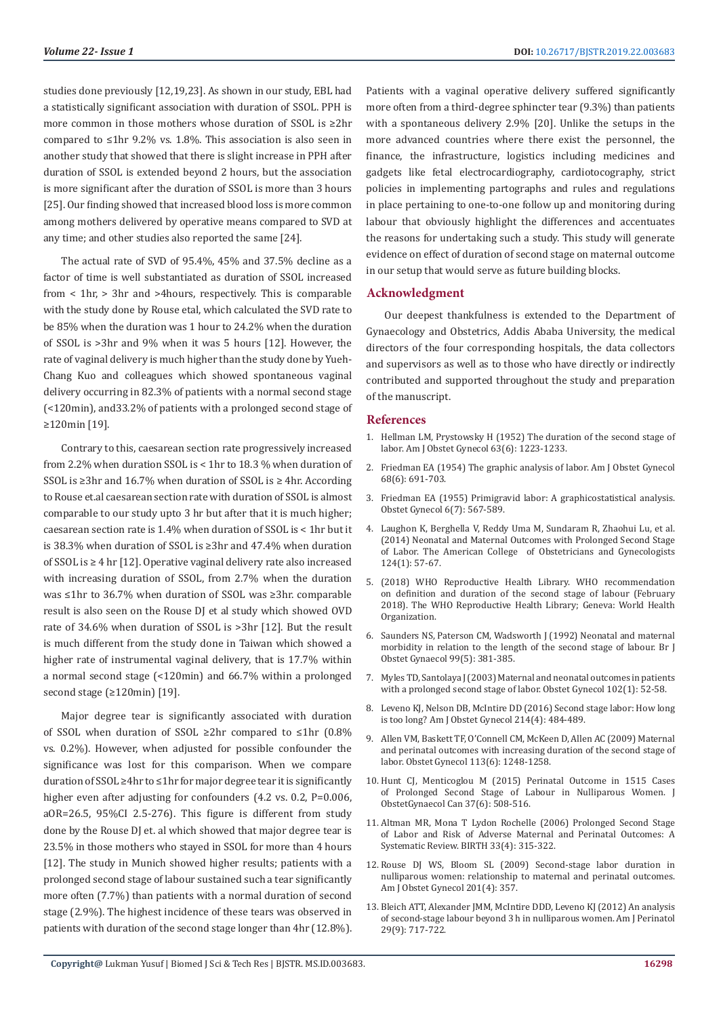studies done previously [12,19,23]. As shown in our study, EBL had a statistically significant association with duration of SSOL. PPH is more common in those mothers whose duration of SSOL is ≥2hr compared to ≤1hr 9.2% vs. 1.8%. This association is also seen in another study that showed that there is slight increase in PPH after duration of SSOL is extended beyond 2 hours, but the association is more significant after the duration of SSOL is more than 3 hours [25]. Our finding showed that increased blood loss is more common among mothers delivered by operative means compared to SVD at any time; and other studies also reported the same [24].

The actual rate of SVD of 95.4%, 45% and 37.5% decline as a factor of time is well substantiated as duration of SSOL increased from < 1hr, > 3hr and >4hours, respectively. This is comparable with the study done by Rouse etal, which calculated the SVD rate to be 85% when the duration was 1 hour to 24.2% when the duration of SSOL is >3hr and 9% when it was 5 hours [12]. However, the rate of vaginal delivery is much higher than the study done by Yueh-Chang Kuo and colleagues which showed spontaneous vaginal delivery occurring in 82.3% of patients with a normal second stage (<120min), and33.2% of patients with a prolonged second stage of ≥120min [19].

Contrary to this, caesarean section rate progressively increased from 2.2% when duration SSOL is < 1hr to 18.3 % when duration of SSOL is ≥3hr and 16.7% when duration of SSOL is ≥ 4hr. According to Rouse et.al caesarean section rate with duration of SSOL is almost comparable to our study upto 3 hr but after that it is much higher; caesarean section rate is 1.4% when duration of SSOL is < 1hr but it is 38.3% when duration of SSOL is ≥3hr and 47.4% when duration of SSOL is ≥ 4 hr [12]. Operative vaginal delivery rate also increased with increasing duration of SSOL, from 2.7% when the duration was ≤1hr to 36.7% when duration of SSOL was ≥3hr. comparable result is also seen on the Rouse DJ et al study which showed OVD rate of 34.6% when duration of SSOL is >3hr [12]. But the result is much different from the study done in Taiwan which showed a higher rate of instrumental vaginal delivery, that is 17.7% within a normal second stage (<120min) and 66.7% within a prolonged second stage (≥120min) [19].

Major degree tear is significantly associated with duration of SSOL when duration of SSOL ≥2hr compared to ≤1hr (0.8% vs. 0.2%). However, when adjusted for possible confounder the significance was lost for this comparison. When we compare duration of SSOL ≥4hr to ≤1hr for major degree tear it is significantly higher even after adjusting for confounders (4.2 vs. 0.2, P=0.006, aOR=26.5, 95%CI 2.5-276). This figure is different from study done by the Rouse DJ et. al which showed that major degree tear is 23.5% in those mothers who stayed in SSOL for more than 4 hours [12]. The study in Munich showed higher results; patients with a prolonged second stage of labour sustained such a tear significantly more often (7.7%) than patients with a normal duration of second stage (2.9%). The highest incidence of these tears was observed in patients with duration of the second stage longer than 4hr (12.8%).

Patients with a vaginal operative delivery suffered significantly more often from a third-degree sphincter tear (9.3%) than patients with a spontaneous delivery 2.9% [20]. Unlike the setups in the more advanced countries where there exist the personnel, the finance, the infrastructure, logistics including medicines and gadgets like fetal electrocardiography, cardiotocography, strict policies in implementing partographs and rules and regulations in place pertaining to one-to-one follow up and monitoring during labour that obviously highlight the differences and accentuates the reasons for undertaking such a study. This study will generate evidence on effect of duration of second stage on maternal outcome in our setup that would serve as future building blocks.

### **Acknowledgment**

Our deepest thankfulness is extended to the Department of Gynaecology and Obstetrics, Addis Ababa University, the medical directors of the four corresponding hospitals, the data collectors and supervisors as well as to those who have directly or indirectly contributed and supported throughout the study and preparation of the manuscript.

### **References**

- 1. [Hellman LM, Prystowsky H \(1952\) The duration of the second stage of](https://www.ncbi.nlm.nih.gov/pubmed/14933479) [labor. Am J Obstet Gynecol 63\(6\): 1223-1233.](https://www.ncbi.nlm.nih.gov/pubmed/14933479)
- 2. [Friedman EA \(1954\) The graphic analysis of labor. Am J Obstet Gynecol](https://www.ncbi.nlm.nih.gov/pubmed/13207246) [68\(6\): 691-703.](https://www.ncbi.nlm.nih.gov/pubmed/13207246)
- 3. [Friedman EA \(1955\) Primigravid labor: A graphicostatistical analysis.](https://journals.lww.com/greenjournal/Citation/1955/12000/Primigravid_Labor__A_graphicostatistical_analysis.1.aspx) [Obstet Gynecol 6\(7\): 567-589.](https://journals.lww.com/greenjournal/Citation/1955/12000/Primigravid_Labor__A_graphicostatistical_analysis.1.aspx)
- 4. [Laughon K, Berghella V, Reddy Uma M, Sundaram R, Zhaohui Lu, et al.](https://www.ncbi.nlm.nih.gov/pubmed/24901265) [\(2014\) Neonatal and Maternal Outcomes with Prolonged Second Stage](https://www.ncbi.nlm.nih.gov/pubmed/24901265) [of Labor. The American College of Obstetricians and Gynecologists](https://www.ncbi.nlm.nih.gov/pubmed/24901265) [124\(1\): 57-67.](https://www.ncbi.nlm.nih.gov/pubmed/24901265)
- 5. (2018) WHO Reproductive Health Library. WHO recommendation on definition and duration of the second stage of labour (February 2018). The WHO Reproductive Health Library; Geneva: World Health Organization.
- 6. [Saunders NS, Paterson CM, Wadsworth J \(1992\) Neonatal and maternal](https://www.ncbi.nlm.nih.gov/pubmed/1622909) [morbidity in relation to the length of the second stage of labour. Br J](https://www.ncbi.nlm.nih.gov/pubmed/1622909) [Obstet Gynaecol 99\(5\): 381-385.](https://www.ncbi.nlm.nih.gov/pubmed/1622909)
- 7. [Myles TD, Santolaya J \(2003\) Maternal and neonatal outcomes in patients](https://www.ncbi.nlm.nih.gov/pubmed/12850607) [with a prolonged second stage of labor. Obstet Gynecol 102\(1\): 52-58.](https://www.ncbi.nlm.nih.gov/pubmed/12850607)
- 8. [Leveno KJ, Nelson DB, McIntire DD \(2016\) Second stage labor: How long](https://www.ncbi.nlm.nih.gov/pubmed/26546847) [is too long? Am J Obstet Gynecol 214\(4\): 484-489.](https://www.ncbi.nlm.nih.gov/pubmed/26546847)
- 9. [Allen VM, Baskett TF, O'Connell CM, McKeen D, Allen AC \(2009\) Maternal](https://www.ncbi.nlm.nih.gov/pubmed/19461419) [and perinatal outcomes with increasing duration of the second stage of](https://www.ncbi.nlm.nih.gov/pubmed/19461419) [labor. Obstet Gynecol 113\(6\): 1248-1258.](https://www.ncbi.nlm.nih.gov/pubmed/19461419)
- 10. [Hunt CJ, Menticoglou M \(2015\) Perinatal Outcome in 1515 Cases](https://www.ncbi.nlm.nih.gov/pubmed/26334603) [of Prolonged Second Stage of Labour in Nulliparous Women. J](https://www.ncbi.nlm.nih.gov/pubmed/26334603) [ObstetGynaecol Can 37\(6\): 508-516.](https://www.ncbi.nlm.nih.gov/pubmed/26334603)
- 11. [Altman MR, Mona T Lydon Rochelle \(2006\) Prolonged Second Stage](https://www.ncbi.nlm.nih.gov/pubmed/17150071) [of Labor and Risk of Adverse Maternal and Perinatal Outcomes: A](https://www.ncbi.nlm.nih.gov/pubmed/17150071) [Systematic Review. BIRTH 33\(4\): 315-322.](https://www.ncbi.nlm.nih.gov/pubmed/17150071)
- 12. [Rouse DJ WS, Bloom SL \(2009\) Second-stage labor duration in](https://www.ncbi.nlm.nih.gov/pubmed/19788967) [nulliparous women: relationship to maternal and perinatal outcomes.](https://www.ncbi.nlm.nih.gov/pubmed/19788967) [Am J Obstet Gynecol 201\(4\): 357.](https://www.ncbi.nlm.nih.gov/pubmed/19788967)
- 13. [Bleich ATT, Alexander JMM, McIntire DDD, Leveno KJ \(2012\) An analysis](https://www.ncbi.nlm.nih.gov/pubmed/22644830) [of second-stage labour beyond 3 h in nulliparous women. Am J Perinatol](https://www.ncbi.nlm.nih.gov/pubmed/22644830) [29\(9\): 717-722.](https://www.ncbi.nlm.nih.gov/pubmed/22644830)